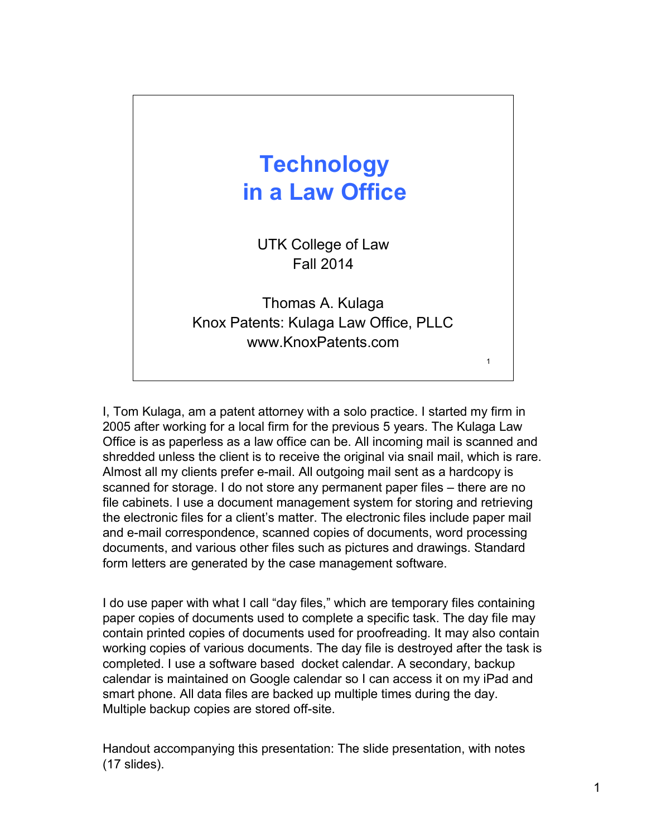## 1 **Technology in a Law Office** UTK College of Law Fall 2014 Thomas A. Kulaga Knox Patents: Kulaga Law Office, PLLC www.KnoxPatents.com

I, Tom Kulaga, am a patent attorney with a solo practice. I started my firm in 2005 after working for a local firm for the previous 5 years. The Kulaga Law Office is as paperless as a law office can be. All incoming mail is scanned and shredded unless the client is to receive the original via snail mail, which is rare. Almost all my clients prefer e-mail. All outgoing mail sent as a hardcopy is scanned for storage. I do not store any permanent paper files – there are no file cabinets. I use a document management system for storing and retrieving the electronic files for a client's matter. The electronic files include paper mail and e-mail correspondence, scanned copies of documents, word processing documents, and various other files such as pictures and drawings. Standard form letters are generated by the case management software.

I do use paper with what I call "day files," which are temporary files containing paper copies of documents used to complete a specific task. The day file may contain printed copies of documents used for proofreading. It may also contain working copies of various documents. The day file is destroyed after the task is completed. I use a software based docket calendar. A secondary, backup calendar is maintained on Google calendar so I can access it on my iPad and smart phone. All data files are backed up multiple times during the day. Multiple backup copies are stored off-site.

Handout accompanying this presentation: The slide presentation, with notes (17 slides).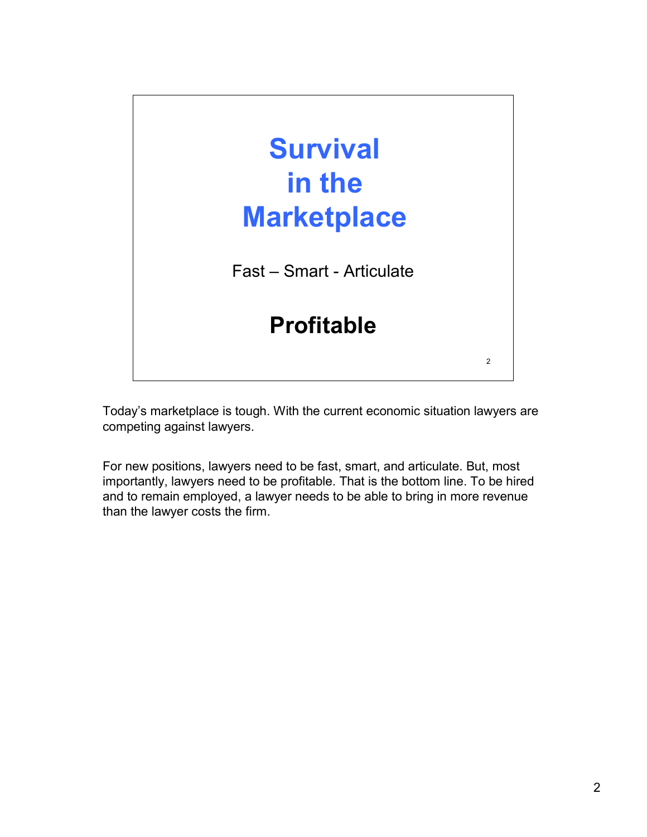

Today's marketplace is tough. With the current economic situation lawyers are competing against lawyers.

For new positions, lawyers need to be fast, smart, and articulate. But, most importantly, lawyers need to be profitable. That is the bottom line. To be hired and to remain employed, a lawyer needs to be able to bring in more revenue than the lawyer costs the firm.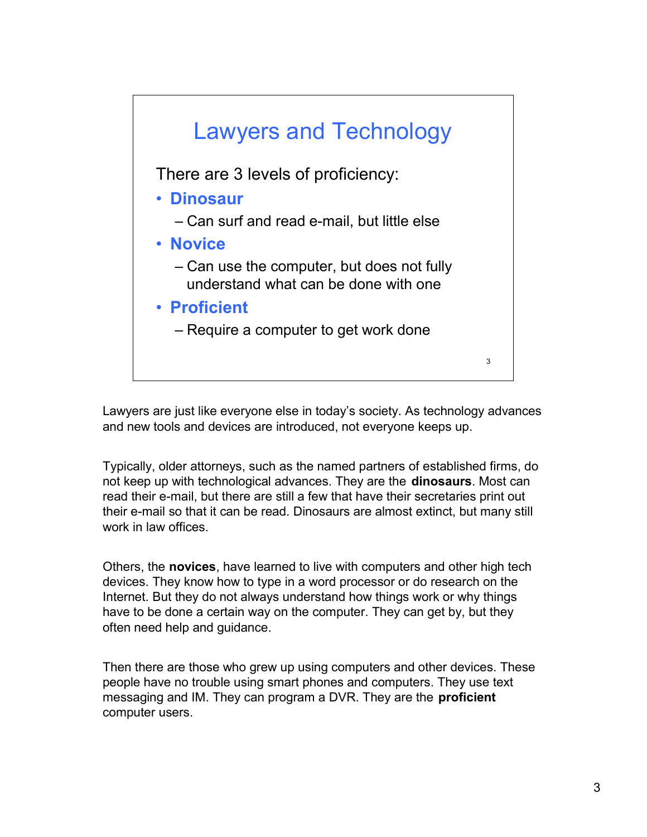

Lawyers are just like everyone else in today's society. As technology advances and new tools and devices are introduced, not everyone keeps up.

Typically, older attorneys, such as the named partners of established firms, do not keep up with technological advances. They are the **dinosaurs**. Most can read their e-mail, but there are still a few that have their secretaries print out their e-mail so that it can be read. Dinosaurs are almost extinct, but many still work in law offices.

Others, the **novices**, have learned to live with computers and other high tech devices. They know how to type in a word processor or do research on the Internet. But they do not always understand how things work or why things have to be done a certain way on the computer. They can get by, but they often need help and guidance.

Then there are those who grew up using computers and other devices. These people have no trouble using smart phones and computers. They use text messaging and IM. They can program a DVR. They are the **proficient** computer users.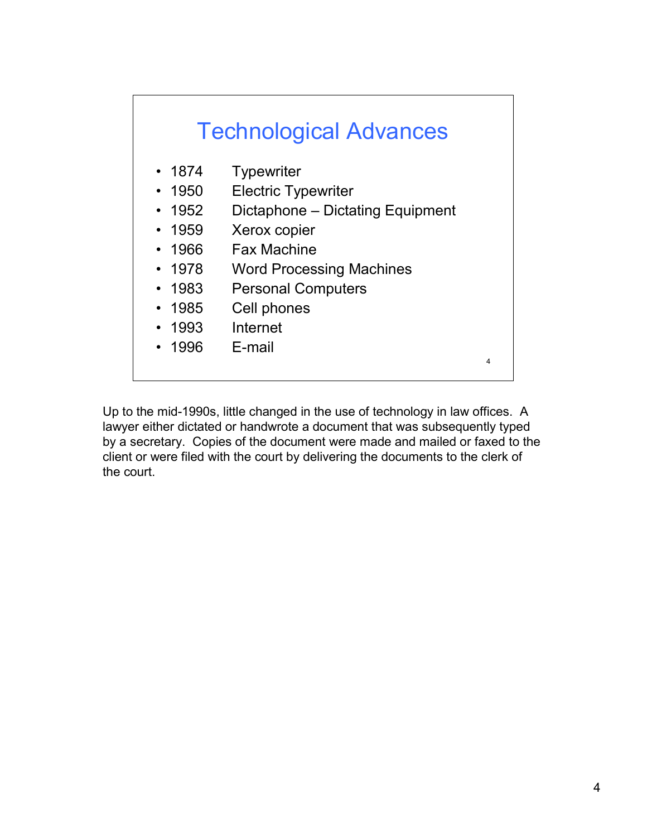

Up to the mid-1990s, little changed in the use of technology in law offices. A lawyer either dictated or handwrote a document that was subsequently typed by a secretary. Copies of the document were made and mailed or faxed to the client or were filed with the court by delivering the documents to the clerk of the court.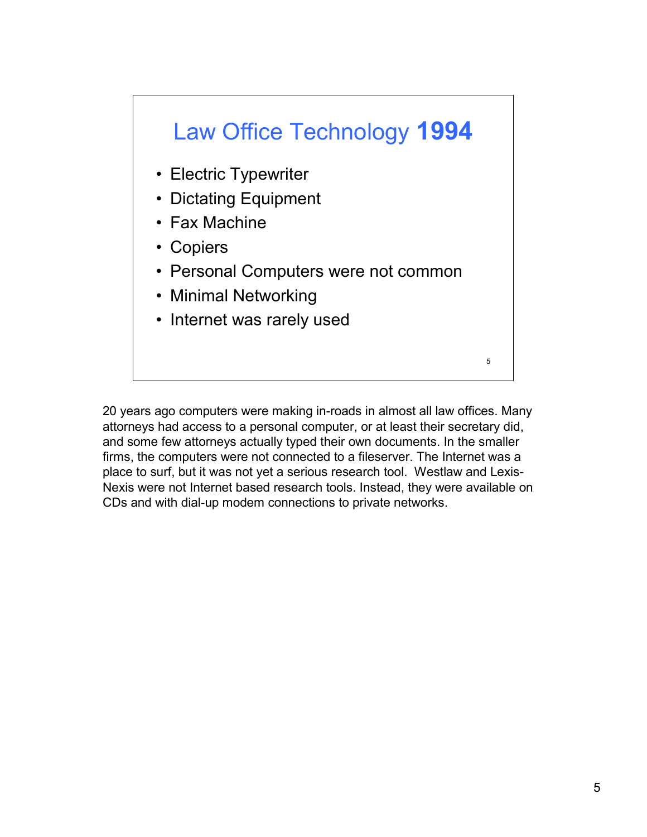

20 years ago computers were making in-roads in almost all law offices. Many attorneys had access to a personal computer, or at least their secretary did, and some few attorneys actually typed their own documents. In the smaller firms, the computers were not connected to a fileserver. The Internet was a place to surf, but it was not yet a serious research tool. Westlaw and Lexis-Nexis were not Internet based research tools. Instead, they were available on CDs and with dial-up modem connections to private networks.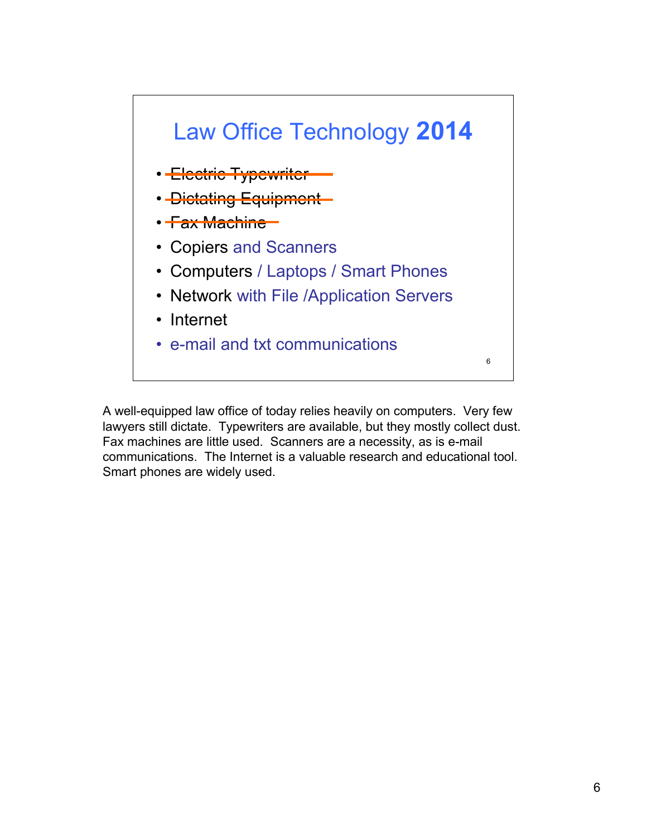

A well-equipped law office of today relies heavily on computers. Very few lawyers still dictate. Typewriters are available, but they mostly collect dust. Fax machines are little used. Scanners are a necessity, as is e-mail communications. The Internet is a valuable research and educational tool. Smart phones are widely used.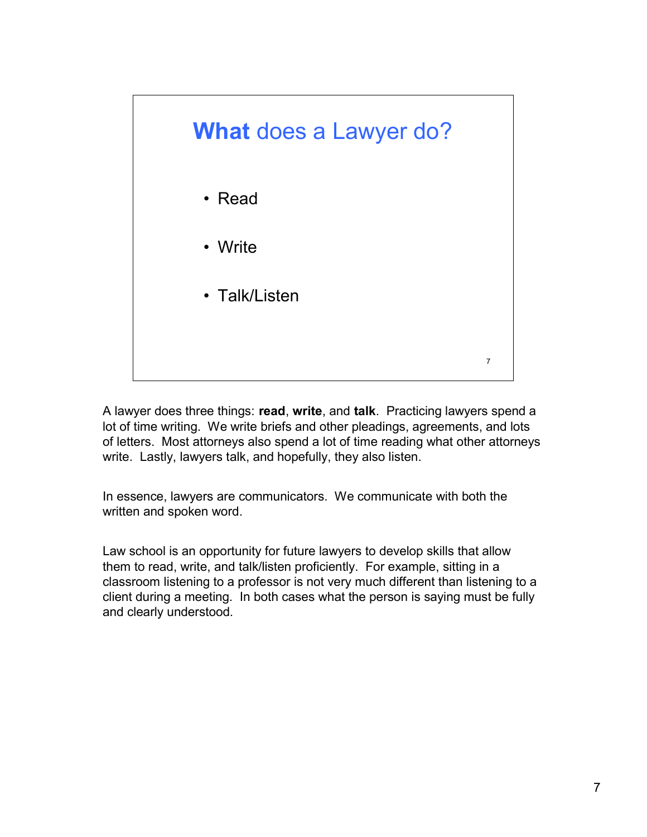

A lawyer does three things: **read**, **write**, and **talk**. Practicing lawyers spend a lot of time writing. We write briefs and other pleadings, agreements, and lots of letters. Most attorneys also spend a lot of time reading what other attorneys write. Lastly, lawyers talk, and hopefully, they also listen.

In essence, lawyers are communicators. We communicate with both the written and spoken word.

Law school is an opportunity for future lawyers to develop skills that allow them to read, write, and talk/listen proficiently. For example, sitting in a classroom listening to a professor is not very much different than listening to a client during a meeting. In both cases what the person is saying must be fully and clearly understood.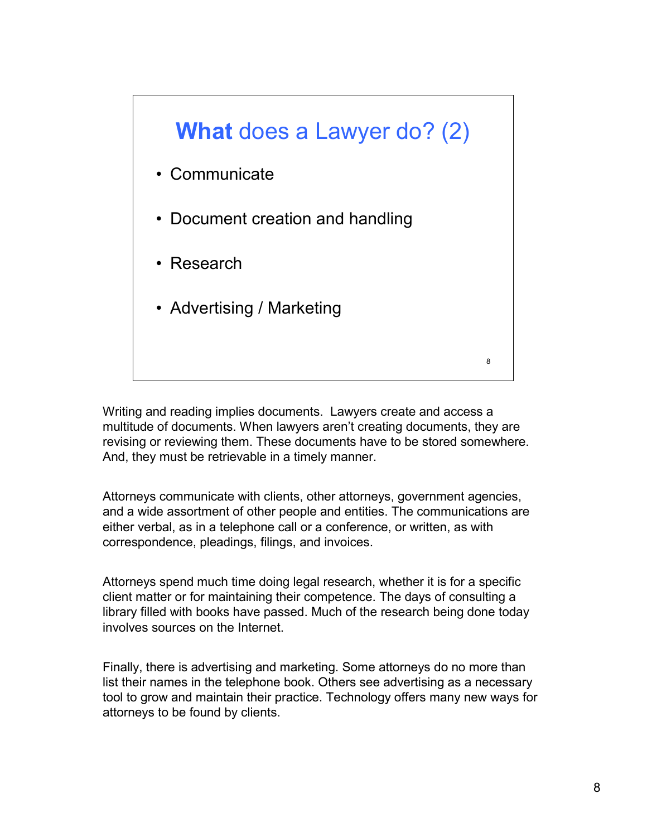

Writing and reading implies documents. Lawyers create and access a multitude of documents. When lawyers aren't creating documents, they are revising or reviewing them. These documents have to be stored somewhere. And, they must be retrievable in a timely manner.

Attorneys communicate with clients, other attorneys, government agencies, and a wide assortment of other people and entities. The communications are either verbal, as in a telephone call or a conference, or written, as with correspondence, pleadings, filings, and invoices.

Attorneys spend much time doing legal research, whether it is for a specific client matter or for maintaining their competence. The days of consulting a library filled with books have passed. Much of the research being done today involves sources on the Internet.

Finally, there is advertising and marketing. Some attorneys do no more than list their names in the telephone book. Others see advertising as a necessary tool to grow and maintain their practice. Technology offers many new ways for attorneys to be found by clients.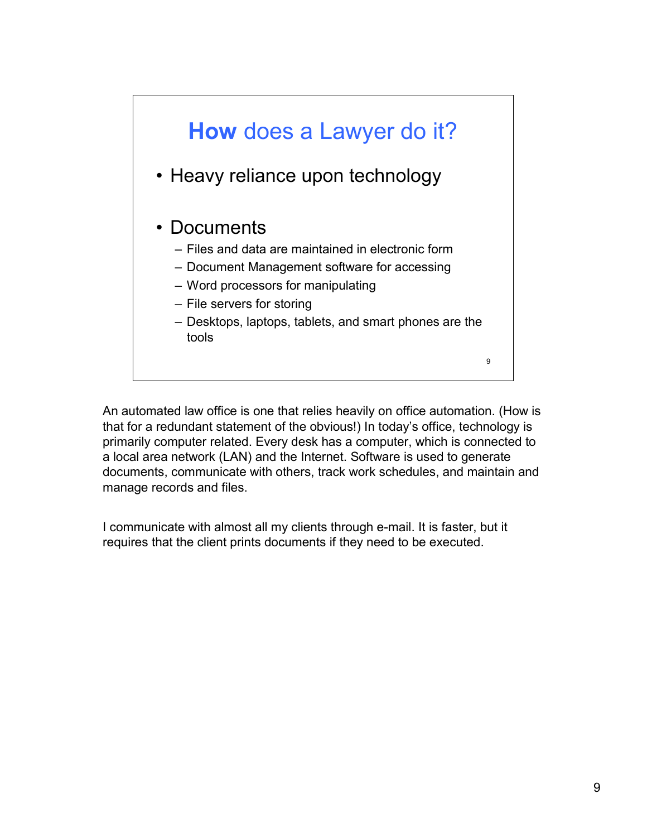

An automated law office is one that relies heavily on office automation. (How is that for a redundant statement of the obvious!) In today's office, technology is primarily computer related. Every desk has a computer, which is connected to a local area network (LAN) and the Internet. Software is used to generate documents, communicate with others, track work schedules, and maintain and manage records and files.

I communicate with almost all my clients through e-mail. It is faster, but it requires that the client prints documents if they need to be executed.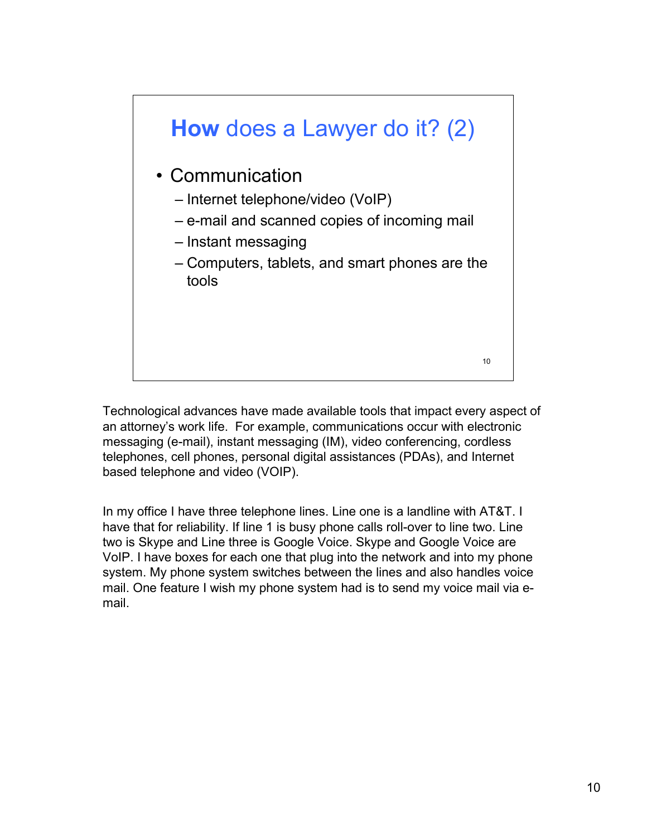

Technological advances have made available tools that impact every aspect of an attorney's work life. For example, communications occur with electronic messaging (e-mail), instant messaging (IM), video conferencing, cordless telephones, cell phones, personal digital assistances (PDAs), and Internet based telephone and video (VOIP).

In my office I have three telephone lines. Line one is a landline with AT&T. I have that for reliability. If line 1 is busy phone calls roll-over to line two. Line two is Skype and Line three is Google Voice. Skype and Google Voice are VoIP. I have boxes for each one that plug into the network and into my phone system. My phone system switches between the lines and also handles voice mail. One feature I wish my phone system had is to send my voice mail via email.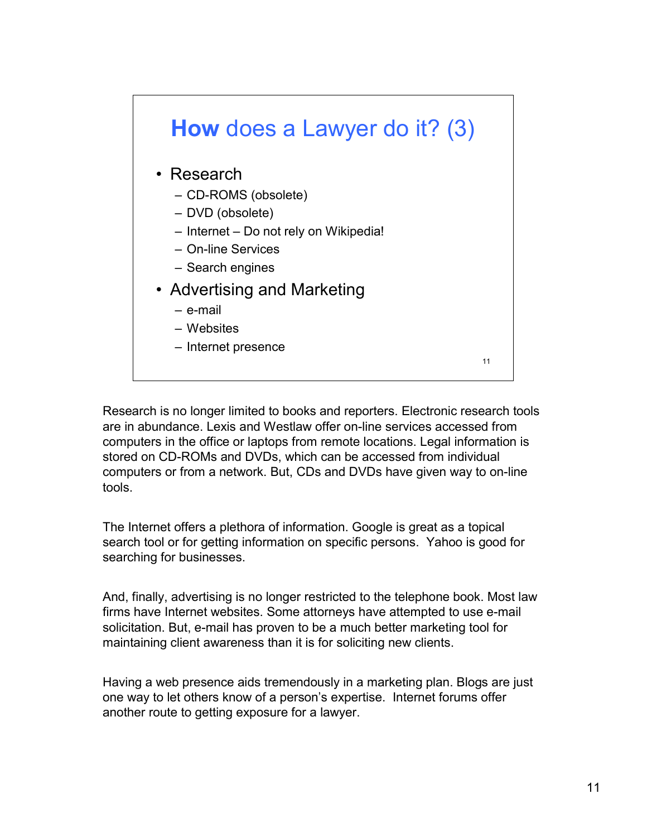

Research is no longer limited to books and reporters. Electronic research tools are in abundance. Lexis and Westlaw offer on-line services accessed from computers in the office or laptops from remote locations. Legal information is stored on CD-ROMs and DVDs, which can be accessed from individual computers or from a network. But, CDs and DVDs have given way to on-line tools.

The Internet offers a plethora of information. Google is great as a topical search tool or for getting information on specific persons. Yahoo is good for searching for businesses.

And, finally, advertising is no longer restricted to the telephone book. Most law firms have Internet websites. Some attorneys have attempted to use e-mail solicitation. But, e-mail has proven to be a much better marketing tool for maintaining client awareness than it is for soliciting new clients.

Having a web presence aids tremendously in a marketing plan. Blogs are just one way to let others know of a person's expertise. Internet forums offer another route to getting exposure for a lawyer.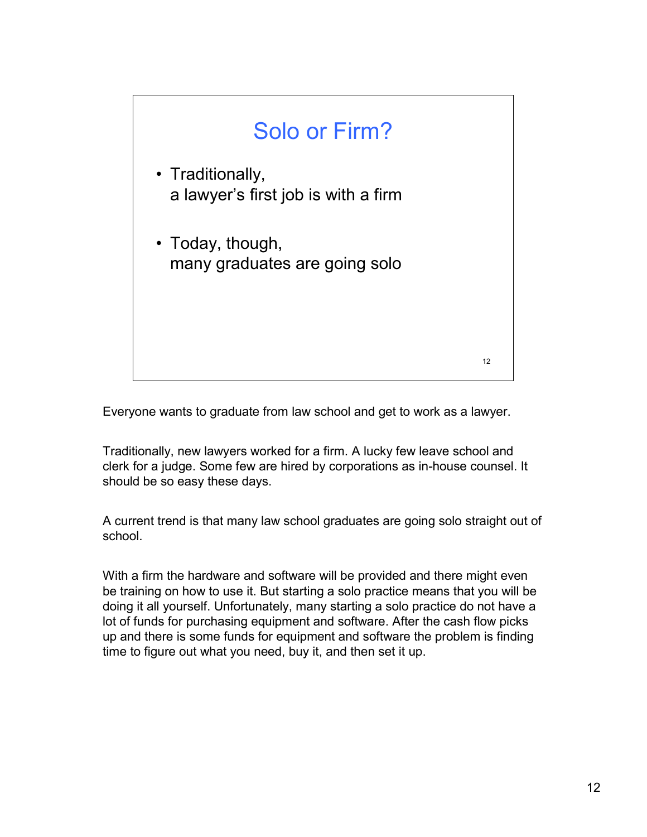

Everyone wants to graduate from law school and get to work as a lawyer.

Traditionally, new lawyers worked for a firm. A lucky few leave school and clerk for a judge. Some few are hired by corporations as in-house counsel. It should be so easy these days.

A current trend is that many law school graduates are going solo straight out of school.

With a firm the hardware and software will be provided and there might even be training on how to use it. But starting a solo practice means that you will be doing it all yourself. Unfortunately, many starting a solo practice do not have a lot of funds for purchasing equipment and software. After the cash flow picks up and there is some funds for equipment and software the problem is finding time to figure out what you need, buy it, and then set it up.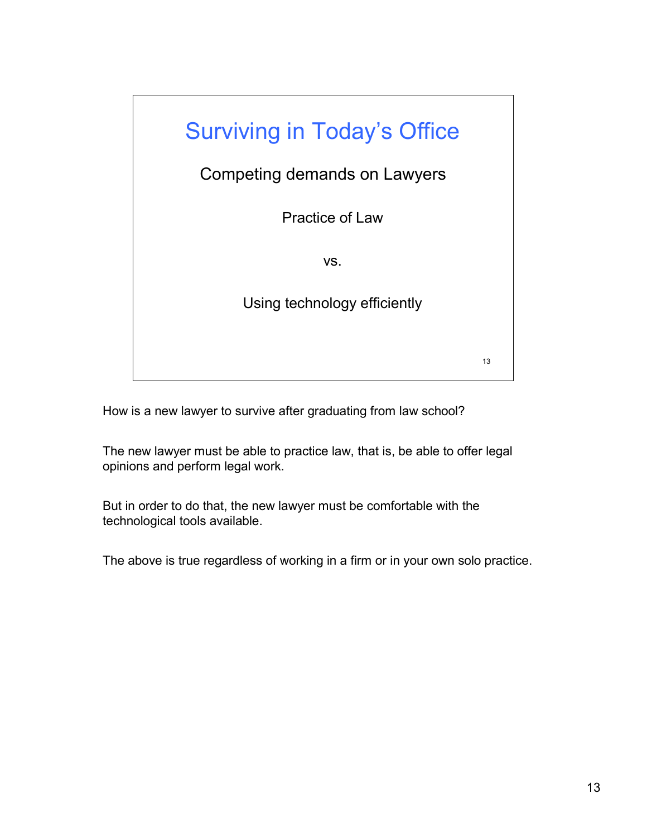

How is a new lawyer to survive after graduating from law school?

The new lawyer must be able to practice law, that is, be able to offer legal opinions and perform legal work.

But in order to do that, the new lawyer must be comfortable with the technological tools available.

The above is true regardless of working in a firm or in your own solo practice.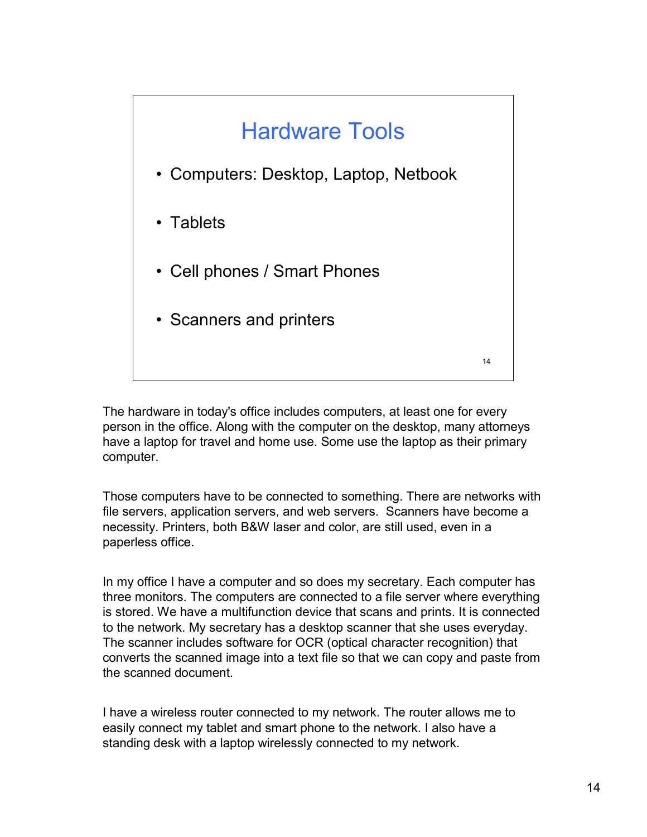

The hardware in today's office includes computers, at least one for every person in the office. Along with the computer on the desktop, many attorneys have a laptop for travel and home use. Some use the laptop as their primary computer.

Those computers have to be connected to something. There are networks with file servers, application servers, and web servers. Scanners have become a necessity. Printers, both B&W laser and color, are still used, even in a paperless office.

In my office I have a computer and so does my secretary. Each computer has three monitors. The computers are connected to a file server where everything is stored. We have a multifunction device that scans and prints. It is connected to the network. My secretary has a desktop scanner that she uses everyday. The scanner includes software for OCR (optical character recognition) that converts the scanned image into a text file so that we can copy and paste from the scanned document.

I have a wireless router connected to my network. The router allows me to easily connect my tablet and smart phone to the network. I also have a standing desk with a laptop wirelessly connected to my network.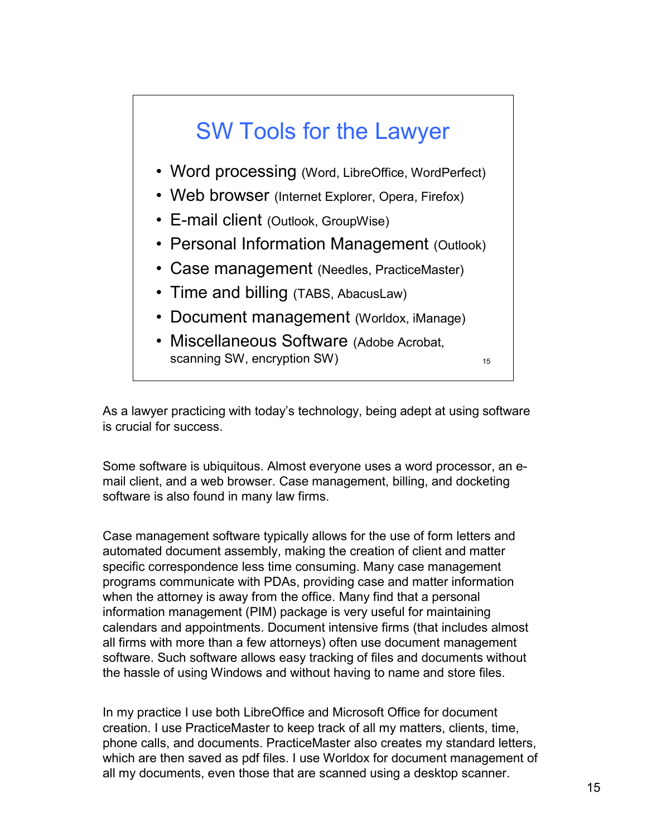## SW Tools for the Lawyer

- Word processing (Word, LibreOffice, WordPerfect)
- Web browser (Internet Explorer, Opera, Firefox)
- E-mail client (Outlook, GroupWise)
- Personal Information Management (Outlook)
- Case management (Needles, PracticeMaster)
- Time and billing (TABS, AbacusLaw)
- Document management (Worldox, iManage)
- Miscellaneous Software (Adobe Acrobat, scanning SW, encryption SW)

15

As a lawyer practicing with today's technology, being adept at using software is crucial for success.

Some software is ubiquitous. Almost everyone uses a word processor, an email client, and a web browser. Case management, billing, and docketing software is also found in many law firms.

Case management software typically allows for the use of form letters and automated document assembly, making the creation of client and matter specific correspondence less time consuming. Many case management programs communicate with PDAs, providing case and matter information when the attorney is away from the office. Many find that a personal information management (PIM) package is very useful for maintaining calendars and appointments. Document intensive firms (that includes almost all firms with more than a few attorneys) often use document management software. Such software allows easy tracking of files and documents without the hassle of using Windows and without having to name and store files.

In my practice I use both LibreOffice and Microsoft Office for document creation. I use PracticeMaster to keep track of all my matters, clients, time, phone calls, and documents. PracticeMaster also creates my standard letters, which are then saved as pdf files. I use Worldox for document management of all my documents, even those that are scanned using a desktop scanner.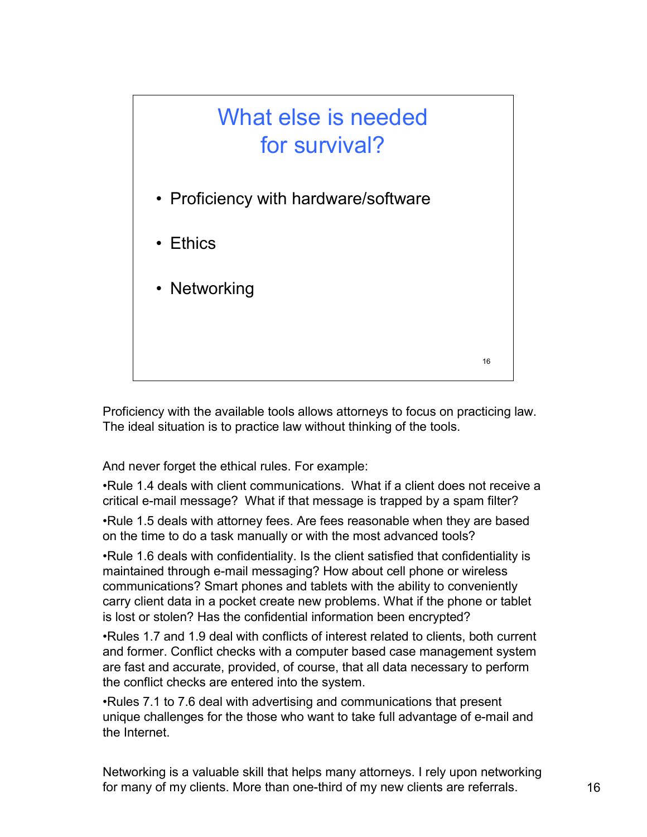

Proficiency with the available tools allows attorneys to focus on practicing law. The ideal situation is to practice law without thinking of the tools.

And never forget the ethical rules. For example:

•Rule 1.4 deals with client communications. What if a client does not receive a critical e-mail message? What if that message is trapped by a spam filter?

•Rule 1.5 deals with attorney fees. Are fees reasonable when they are based on the time to do a task manually or with the most advanced tools?

•Rule 1.6 deals with confidentiality. Is the client satisfied that confidentiality is maintained through e-mail messaging? How about cell phone or wireless communications? Smart phones and tablets with the ability to conveniently carry client data in a pocket create new problems. What if the phone or tablet is lost or stolen? Has the confidential information been encrypted?

•Rules 1.7 and 1.9 deal with conflicts of interest related to clients, both current and former. Conflict checks with a computer based case management system are fast and accurate, provided, of course, that all data necessary to perform the conflict checks are entered into the system.

•Rules 7.1 to 7.6 deal with advertising and communications that present unique challenges for the those who want to take full advantage of e-mail and the Internet.

Networking is a valuable skill that helps many attorneys. I rely upon networking for many of my clients. More than one-third of my new clients are referrals.